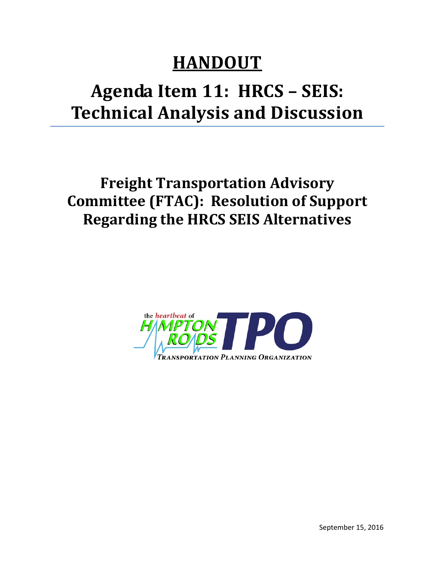## **HANDOUT**

## **Agenda Item 11: HRCS – SEIS: Technical Analysis and Discussion**

**Freight Transportation Advisory Committee (FTAC): Resolution of Support Regarding the HRCS SEIS Alternatives**

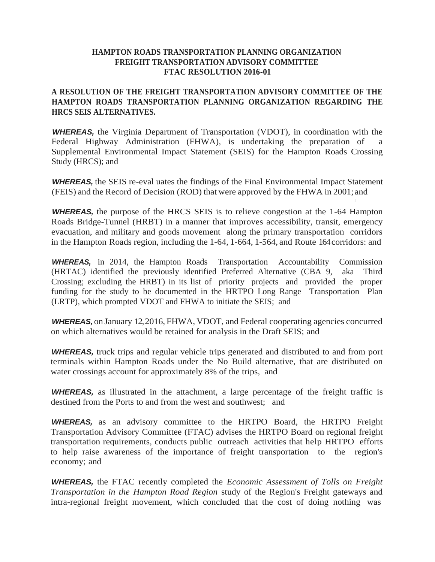## **HAMPTON ROADS TRANSPORTATION PLANNING ORGANIZATION FREIGHT TRANSPORTATION ADVISORY COMMITTEE FTAC RESOLUTION 2016-01**

## **A RESOLUTION OF THE FREIGHT TRANSPORTATION ADVISORY COMMITTEE OF THE HAMPTON ROADS TRANSPORTATION PLANNING ORGANIZATION REGARDING THE HRCS SEIS ALTERNATIVES.**

*WHEREAS,* the Virginia Department of Transportation (VDOT), in coordination with the Federal Highway Administration (FHWA), is undertaking the preparation of a Supplemental Environmental Impact Statement (SEIS) for the Hampton Roads Crossing Study (HRCS); and

**WHEREAS,** the SEIS re-eval uates the findings of the Final Environmental Impact Statement (FEIS) and the Record of Decision (ROD) that were approved by the FHWA in 2001; and

*WHEREAS,* the purpose of the HRCS SEIS is to relieve congestion at the 1-64 Hampton Roads Bridge-Tunnel (HRBT) in a manner that improves accessibility, transit, emergency evacuation, and military and goods movement along the primary transportation corridors in the Hampton Roads region, including the 1-64, 1-664, 1-564, and Route 164corridors: and

*WHEREAS,* in 2014, the Hampton Roads Transportation Accountability Commission (HRTAC) identified the previously identified Preferred Alternative (CBA 9, aka Third Crossing; excluding the HRBT) in its list of priority projects and provided the proper funding for the study to be documented in the HRTPO Long Range Transportation Plan (LRTP), which prompted VDOT and FHWA to initiate the SEIS; and

*WHEREAS,* on January 12,2016, FHWA, VDOT, and Federal cooperating agencies concurred on which alternatives would be retained for analysis in the Draft SEIS; and

*WHEREAS,* truck trips and regular vehicle trips generated and distributed to and from port terminals within Hampton Roads under the No Build alternative, that are distributed on water crossings account for approximately 8% of the trips, and

*WHEREAS,* as illustrated in the attachment, a large percentage of the freight traffic is destined from the Ports to and from the west and southwest; and

*WHEREAS,* as an advisory committee to the HRTPO Board, the HRTPO Freight Transportation Advisory Committee (FTAC) advises the HRTPO Board on regional freight transportation requirements, conducts public outreach activities that help HRTPO efforts to help raise awareness of the importance of freight transportation to the region's economy; and

*WHEREAS,* the FTAC recently completed the *Economic Assessment of Tolls on Freight Transportation in the Hampton Road Region* study of the Region's Freight gateways and intra-regional freight movement, which concluded that the cost of doing nothing was